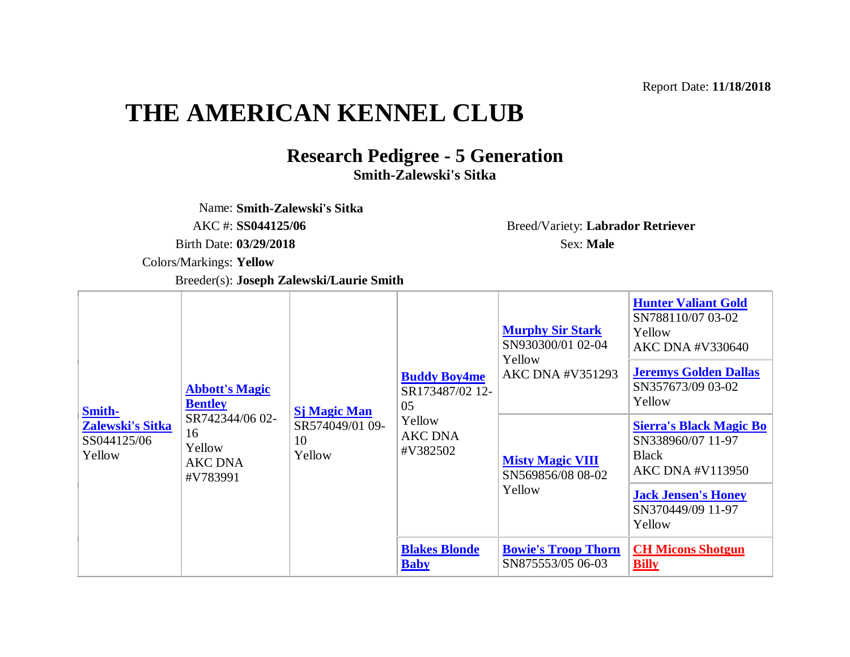Report Date: **11/18/2018**

## **THE AMERICAN KENNEL CLUB**

## **Research Pedigree - 5 Generation Smith-Zalewski's Sitka**

Name: **Smith-Zalewski's Sitka**

AKC #: **SS044125/06** Breed/Variety: **Labrador Retriever**

Colors/Markings: **Yellow** 

Breeder(s): **Joseph Zalewski/Laurie Smith**

**[Smith-](http://www.apps.akc.org/store/reports/index.cfm?dog_id=SS04412506&defineditems=yes)[Zalewski's Sitka](http://www.apps.akc.org/store/reports/index.cfm?dog_id=SS04412506&defineditems=yes)** SS044125/06 Yellow **[Abbott's Magic](http://www.apps.akc.org/store/reports/index.cfm?dog_id=SR74234406&defineditems=yes)  [Bentley](http://www.apps.akc.org/store/reports/index.cfm?dog_id=SR74234406&defineditems=yes)** SR742344/06 02- 16 Yellow AKC DNA #V783991 **[Sj Magic Man](http://www.apps.akc.org/store/reports/index.cfm?dog_id=SR57404901&defineditems=yes)** SR574049/01 09- 10 Yellow **[Buddy Boy4me](http://www.apps.akc.org/store/reports/index.cfm?dog_id=SR17348702&defineditems=yes)** SR173487/02 12- 05 Yellow AKC DNA #V382502 **[Murphy Sir Stark](http://www.apps.akc.org/store/reports/index.cfm?dog_id=SN93030001&defineditems=yes)** SN930300/01 02-04 Yellow AKC DNA #V351293 **[Hunter Valiant Gold](http://www.apps.akc.org/store/reports/index.cfm?dog_id=SN78811007&defineditems=yes)** SN788110/07 03-02 Yellow AKC DNA #V330640 **[Jeremys Golden Dallas](http://www.apps.akc.org/store/reports/index.cfm?dog_id=SN35767309&defineditems=yes)** SN357673/09 03-02 Yellow **[Misty Magic VIII](http://www.apps.akc.org/store/reports/index.cfm?dog_id=SN56985608&defineditems=yes)** SN569856/08 08-02 Yellow **[Sierra's Black Magic Bo](http://www.apps.akc.org/store/reports/index.cfm?dog_id=SN33896007&defineditems=yes)** SN338960/07 11-97 Black AKC DNA #V113950 **[Jack Jensen's Honey](http://www.apps.akc.org/store/reports/index.cfm?dog_id=SN37044909&defineditems=yes)** SN370449/09 11-97 Yellow **[Blakes Blonde](http://www.apps.akc.org/store/reports/index.cfm?dog_id=SR12262903&defineditems=yes)  [Baby](http://www.apps.akc.org/store/reports/index.cfm?dog_id=SR12262903&defineditems=yes) [Bowie's Troop Thorn](http://www.apps.akc.org/store/reports/index.cfm?dog_id=SN87555305&defineditems=yes)** SN875553/05 06-03 **[CH Micons Shotgun](http://www.apps.akc.org/store/reports/index.cfm?dog_id=SN46249807&defineditems=yes)  [Billy](http://www.apps.akc.org/store/reports/index.cfm?dog_id=SN46249807&defineditems=yes)**

Birth Date: **03/29/2018** Sex: **Male**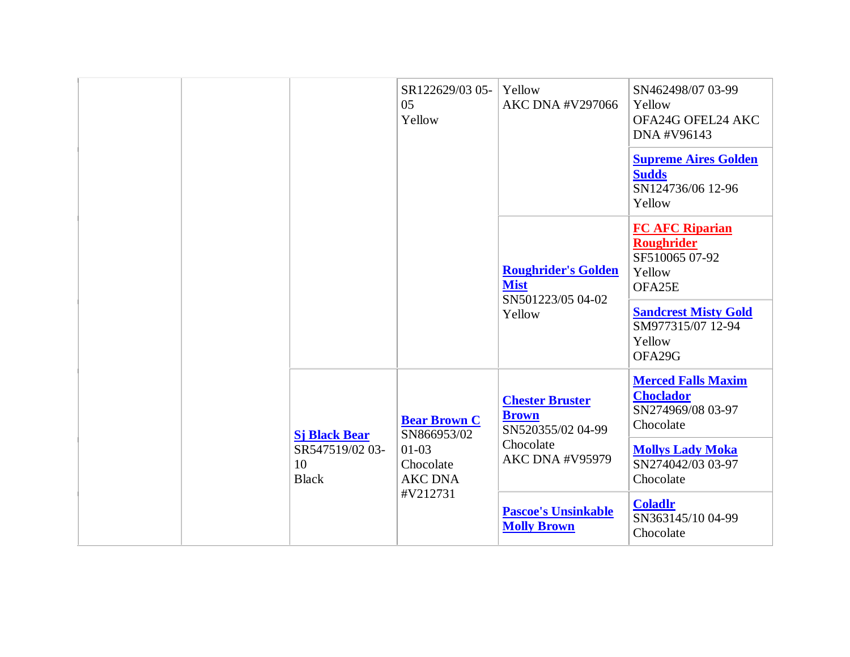|  |                                                               | SR122629/03 05-<br>05<br>Yellow                                              | Yellow<br><b>AKC DNA #V297066</b>                                                                  | SN462498/07 03-99<br>Yellow<br>OFA24G OFEL24 AKC<br>DNA #V96143<br><b>Supreme Aires Golden</b><br><b>Sudds</b><br>SN124736/06 12-96<br>Yellow             |
|--|---------------------------------------------------------------|------------------------------------------------------------------------------|----------------------------------------------------------------------------------------------------|-----------------------------------------------------------------------------------------------------------------------------------------------------------|
|  |                                                               |                                                                              | <b>Roughrider's Golden</b><br><b>Mist</b><br>SN501223/05 04-02<br>Yellow                           | <b>FC AFC Riparian</b><br><b>Roughrider</b><br>SF510065 07-92<br>Yellow<br>OFA25E<br><b>Sandcrest Misty Gold</b><br>SM977315/07 12-94<br>Yellow<br>OFA29G |
|  | <b>Sj Black Bear</b><br>SR547519/02 03-<br>10<br><b>Black</b> | <b>Bear Brown C</b><br>SN866953/02<br>$01-03$<br>Chocolate<br><b>AKC DNA</b> | <b>Chester Bruster</b><br><b>Brown</b><br>SN520355/02 04-99<br>Chocolate<br><b>AKC DNA #V95979</b> | <b>Merced Falls Maxim</b><br><b>Choclador</b><br>SN274969/08 03-97<br>Chocolate<br><b>Mollys Lady Moka</b><br>SN274042/03 03-97<br>Chocolate              |
|  |                                                               | #V212731                                                                     | <b>Pascoe's Unsinkable</b><br><b>Molly Brown</b>                                                   | <b>Coladlr</b><br>SN363145/10 04-99<br>Chocolate                                                                                                          |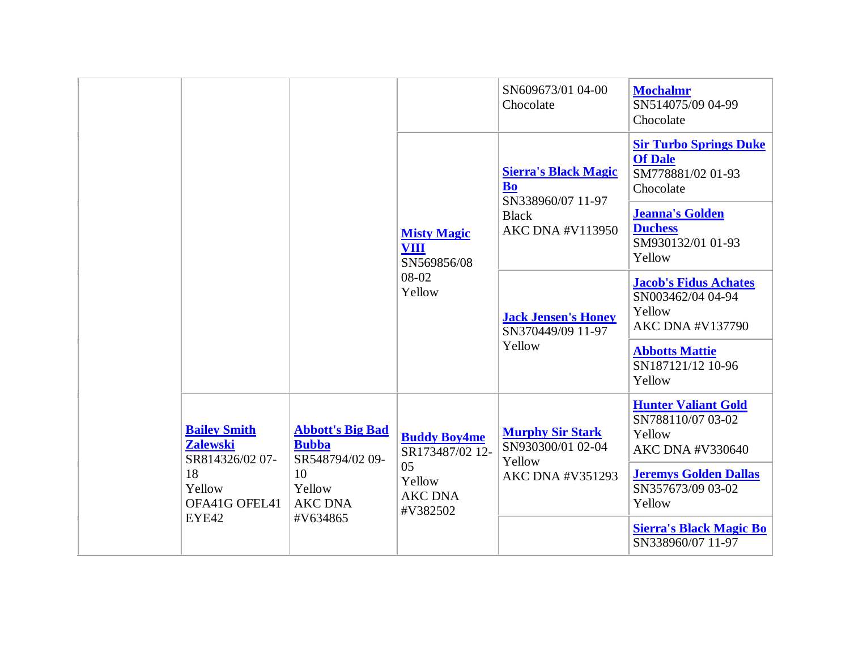|                                                                                            |                                                                                              |                                                                                      | SN609673/01 04-00<br>Chocolate                                                                           | <b>Mochalmr</b><br>SN514075/09 04-99<br>Chocolate                                                                                            |
|--------------------------------------------------------------------------------------------|----------------------------------------------------------------------------------------------|--------------------------------------------------------------------------------------|----------------------------------------------------------------------------------------------------------|----------------------------------------------------------------------------------------------------------------------------------------------|
|                                                                                            |                                                                                              |                                                                                      | <b>Sierra's Black Magic</b><br><b>Bo</b><br>SN338960/07 11-97<br><b>Black</b><br><b>AKC DNA #V113950</b> | <b>Sir Turbo Springs Duke</b><br><b>Of Dale</b><br>SM778881/02 01-93<br>Chocolate                                                            |
|                                                                                            |                                                                                              | <b>Misty Magic</b><br><b>VIII</b><br>SN569856/08                                     |                                                                                                          | <b>Jeanna's Golden</b><br><b>Duchess</b><br>SM930132/01 01-93<br>Yellow                                                                      |
|                                                                                            | 08-02<br>Yellow                                                                              | <b>Jack Jensen's Honey</b><br>SN370449/09 11-97                                      | <b>Jacob's Fidus Achates</b><br>SN003462/04 04-94<br>Yellow<br><b>AKC DNA #V137790</b>                   |                                                                                                                                              |
|                                                                                            |                                                                                              |                                                                                      | Yellow                                                                                                   | <b>Abbotts Mattie</b><br>SN187121/12 10-96<br>Yellow                                                                                         |
| <b>Bailey Smith</b><br><b>Zalewski</b><br>SR814326/02 07-<br>18<br>Yellow<br>OFA41G OFEL41 | <b>Abbott's Big Bad</b><br><b>Bubba</b><br>SR548794/02 09-<br>10<br>Yellow<br><b>AKC DNA</b> | <b>Buddy Boy4me</b><br>SR173487/02 12-<br>05<br>Yellow<br><b>AKC DNA</b><br>#V382502 | <b>Murphy Sir Stark</b><br>SN930300/01 02-04<br>Yellow<br><b>AKC DNA #V351293</b>                        | <b>Hunter Valiant Gold</b><br>SN788110/07 03-02<br>Yellow<br>AKC DNA #V330640<br><b>Jeremys Golden Dallas</b><br>SN357673/09 03-02<br>Yellow |
| EYE42                                                                                      | #V634865                                                                                     |                                                                                      |                                                                                                          | <b>Sierra's Black Magic Bo</b><br>SN338960/07 11-97                                                                                          |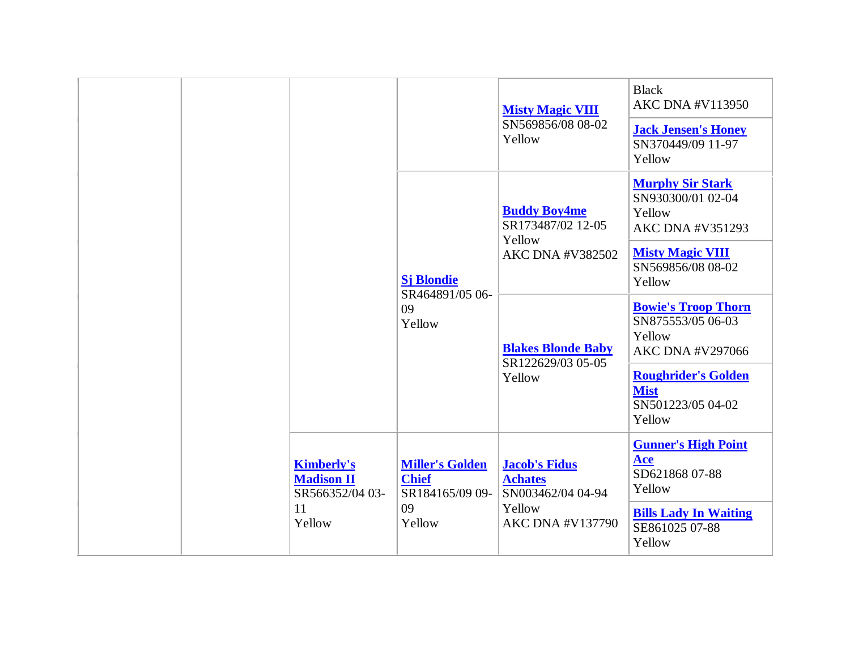|  |                                                           |                                                                           |                                                                                                                                                                                            | <b>Misty Magic VIII</b><br>SN569856/08 08-02<br>Yellow                    | <b>Black</b><br><b>AKC DNA #V113950</b><br><b>Jack Jensen's Honey</b><br>SN370449/09 11-97<br>Yellow |
|--|-----------------------------------------------------------|---------------------------------------------------------------------------|--------------------------------------------------------------------------------------------------------------------------------------------------------------------------------------------|---------------------------------------------------------------------------|------------------------------------------------------------------------------------------------------|
|  |                                                           |                                                                           | <b>Buddy Boy4me</b><br>SR173487/02 12-05<br>Yellow<br>AKC DNA #V382502<br><b>Sj Blondie</b><br>SR464891/05 06-<br>09<br>Yellow<br><b>Blakes Blonde Baby</b><br>SR122629/03 05-05<br>Yellow |                                                                           | <b>Murphy Sir Stark</b><br>SN930300/01 02-04<br>Yellow<br><b>AKC DNA #V351293</b>                    |
|  |                                                           |                                                                           |                                                                                                                                                                                            |                                                                           | <b>Misty Magic VIII</b><br>SN569856/08 08-02<br>Yellow                                               |
|  |                                                           |                                                                           |                                                                                                                                                                                            |                                                                           | <b>Bowie's Troop Thorn</b><br>SN875553/05 06-03<br>Yellow<br><b>AKC DNA #V297066</b>                 |
|  |                                                           |                                                                           |                                                                                                                                                                                            | <b>Roughrider's Golden</b><br><b>Mist</b><br>SN501223/05 04-02<br>Yellow  |                                                                                                      |
|  | <b>Kimberly's</b><br><b>Madison II</b><br>SR566352/04 03- | <b>Miller's Golden</b><br><b>Chief</b><br>SR184165/09 09-<br>09<br>Yellow | <b>Jacob's Fidus</b><br><b>Achates</b><br>SN003462/04 04-94<br>Yellow<br><b>AKC DNA #V137790</b>                                                                                           | <b>Gunner's High Point</b><br>$\mathbf{A}$ ce<br>SD621868 07-88<br>Yellow |                                                                                                      |
|  | 11<br>Yellow                                              |                                                                           |                                                                                                                                                                                            | <b>Bills Lady In Waiting</b><br>SE861025 07-88<br>Yellow                  |                                                                                                      |